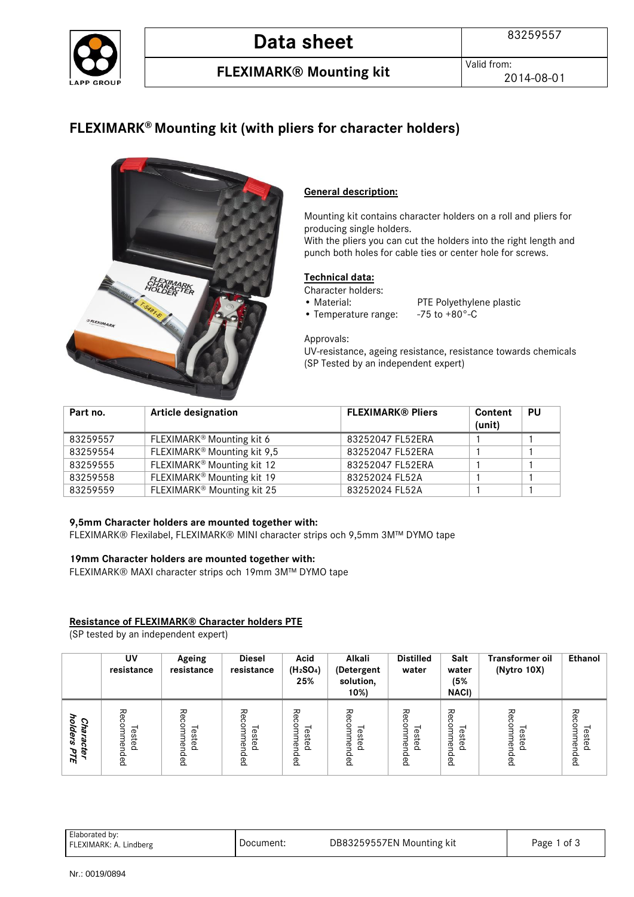

# **Data sheet** 83259557

**FLEXIMARK® Mounting kit** Valid from:

2014-08-01

### **FLEXIMARK® Mounting kit (with pliers for character holders)**



### **General description:**

Mounting kit contains character holders on a roll and pliers for producing single holders.

With the pliers you can cut the holders into the right length and punch both holes for cable ties or center hole for screws.

### **Technical data:**

Character holders:<br>• Material:

- 
- PTE Polyethylene plastic<br>-75 to +80 $^{\circ}$ -C
- $\bullet$  Temperature range:

Approvals:

UV-resistance, ageing resistance, resistance towards chemicals (SP Tested by an independent expert)

| Part no. | <b>Article designation</b>              | <b>FLEXIMARK® Pliers</b> | Content<br>(unit) | PU |
|----------|-----------------------------------------|--------------------------|-------------------|----|
| 83259557 | FLEXIMARK <sup>®</sup> Mounting kit 6   | 83252047 FL52ERA         |                   |    |
| 83259554 | FLEXIMARK <sup>®</sup> Mounting kit 9,5 | 83252047 FL52ERA         |                   |    |
| 83259555 | FLEXIMARK <sup>®</sup> Mounting kit 12  | 83252047 FL52ERA         |                   |    |
| 83259558 | FLEXIMARK <sup>®</sup> Mounting kit 19  | 83252024 FL52A           |                   |    |
| 83259559 | FLEXIMARK <sup>®</sup> Mounting kit 25  | 83252024 FL52A           |                   |    |

### **9,5mm Character holders are mounted together with:**

FLEXIMARK® Flexilabel, FLEXIMARK® MINI character strips och 9,5mm 3M™ DYMO tape

#### **19mm Character holders are mounted together with:**

FLEXIMARK® MAXI character strips och 19mm 3M™ DYMO tape

### **Resistance of FLEXIMARK® Character holders PTE**

(SP tested by an independent expert)

|                                            | UV<br>resistance                                           | Ageing<br>resistance                  | <b>Diesel</b><br>resistance | Acid<br>(H <sub>2</sub> SO <sub>4</sub> )<br>25%                  | Alkali<br>(Detergent<br>solution,<br>10%) | <b>Distilled</b><br>water                              | Salt<br>water<br>(5%<br><b>NACI)</b>                                  | <b>Transformer oil</b><br>(Nytro 10X) | Ethanol                               |
|--------------------------------------------|------------------------------------------------------------|---------------------------------------|-----------------------------|-------------------------------------------------------------------|-------------------------------------------|--------------------------------------------------------|-----------------------------------------------------------------------|---------------------------------------|---------------------------------------|
| J<br>Cha<br>olders<br>ō,<br>↷<br>ë,<br>PTE | る<br>ဂ<br>⊣<br>Φ<br>ste<br>ሟ<br>$\Omega$<br>$\Omega$<br>Ba | ٩<br>ດ<br>gmm<br>Tested<br>ēu<br>lded | ΡĞ<br>Tested<br>ended       | ΡĞ<br>ດ<br>0<br>Ě<br>ወ<br>s<br>÷<br>ወ<br>$\mathbb{B}$<br>௨<br>ded | る<br>Tested<br>ēu<br>Ba                   | 준<br>Φ<br>S<br>Ξ<br>÷<br>Φ<br>ሟ<br>$\Omega$<br>≏<br>Ba | る<br>amm<br>–<br>este<br>ēu<br>$\Omega$<br>$\Omega$<br>$\overline{B}$ | Recommended<br>Tested                 | Rec<br>.<br>∃<br>Tested<br>ēu<br>lded |

| Elaborated by:<br>FLEXIMARK: A. Lindberg | Document: | DB83259557EN Mounting kit | Page 1 of 3 |
|------------------------------------------|-----------|---------------------------|-------------|
|                                          |           |                           |             |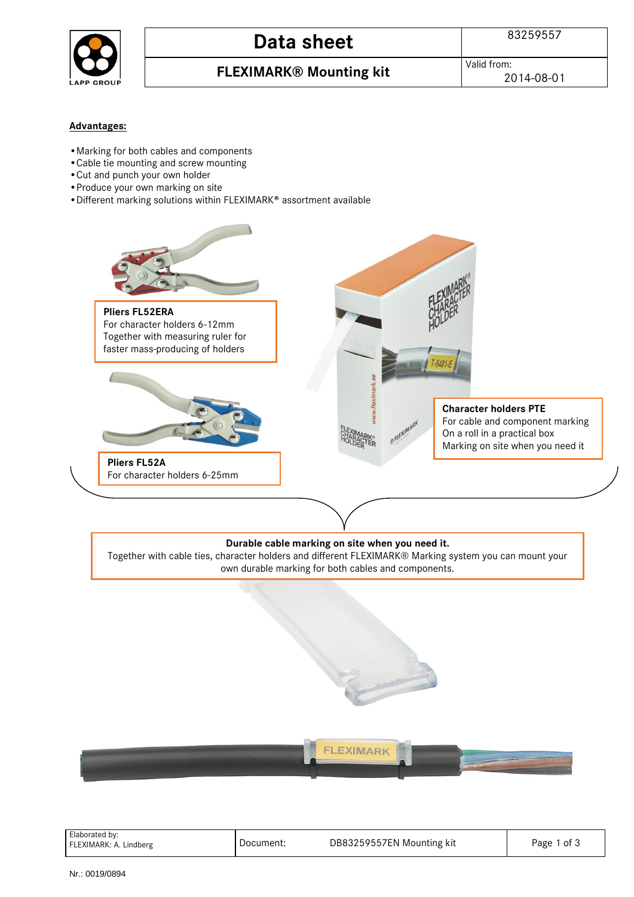

## **Data sheet** 83259557

### **FLEXIMARK® Mounting kit** Valid from:

### **Advantages:**

- •Marking for both cables and components
- •Cable tie mounting and screw mounting
- •Cut and punch your own holder
- •Produce your own marking on site
- •Different marking solutions within FLEXIMARK® assortment available